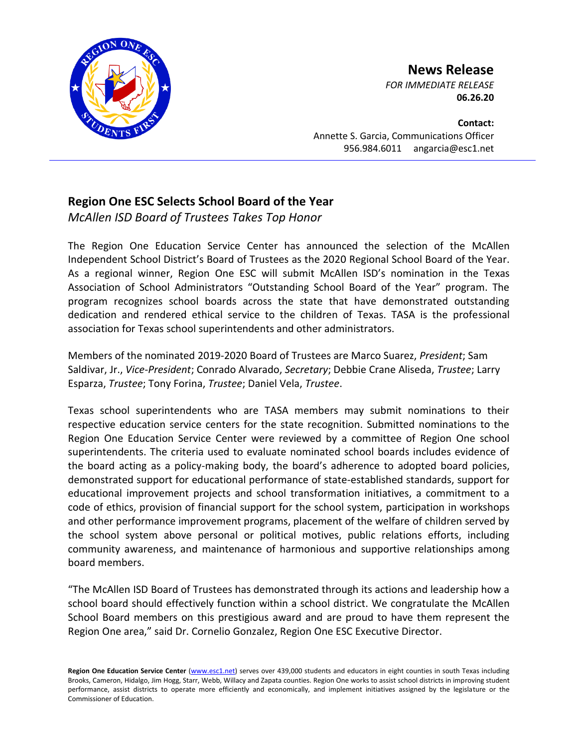

## **News Release**

*FOR IMMEDIATE RELEASE* **06.26.20**

**Contact:** Annette S. Garcia, Communications Officer 956.984.6011 angarcia@esc1.net

## **Region One ESC Selects School Board of the Year**

*McAllen ISD Board of Trustees Takes Top Honor*

The Region One Education Service Center has announced the selection of the McAllen Independent School District's Board of Trustees as the 2020 Regional School Board of the Year. As a regional winner, Region One ESC will submit McAllen ISD's nomination in the Texas Association of School Administrators "Outstanding School Board of the Year" program. The program recognizes school boards across the state that have demonstrated outstanding dedication and rendered ethical service to the children of Texas. TASA is the professional association for Texas school superintendents and other administrators.

Members of the nominated 2019-2020 Board of Trustees are Marco Suarez, *President*; Sam Saldivar, Jr., *Vice-President*; Conrado Alvarado, *Secretary*; Debbie Crane Aliseda, *Trustee*; Larry Esparza, *Trustee*; Tony Forina, *Trustee*; Daniel Vela, *Trustee*.

Texas school superintendents who are TASA members may submit nominations to their respective education service centers for the state recognition. Submitted nominations to the Region One Education Service Center were reviewed by a committee of Region One school superintendents. The criteria used to evaluate nominated school boards includes evidence of the board acting as a policy-making body, the board's adherence to adopted board policies, demonstrated support for educational performance of state-established standards, support for educational improvement projects and school transformation initiatives, a commitment to a code of ethics, provision of financial support for the school system, participation in workshops and other performance improvement programs, placement of the welfare of children served by the school system above personal or political motives, public relations efforts, including community awareness, and maintenance of harmonious and supportive relationships among board members.

"The McAllen ISD Board of Trustees has demonstrated through its actions and leadership how a school board should effectively function within a school district. We congratulate the McAllen School Board members on this prestigious award and are proud to have them represent the Region One area," said Dr. Cornelio Gonzalez, Region One ESC Executive Director.

Region One Education Service Center [\(www.esc1.net\)](http://www.esc1.net/) serves over 439,000 students and educators in eight counties in south Texas including Brooks, Cameron, Hidalgo, Jim Hogg, Starr, Webb, Willacy and Zapata counties. Region One works to assist school districts in improving student performance, assist districts to operate more efficiently and economically, and implement initiatives assigned by the legislature or the Commissioner of Education.